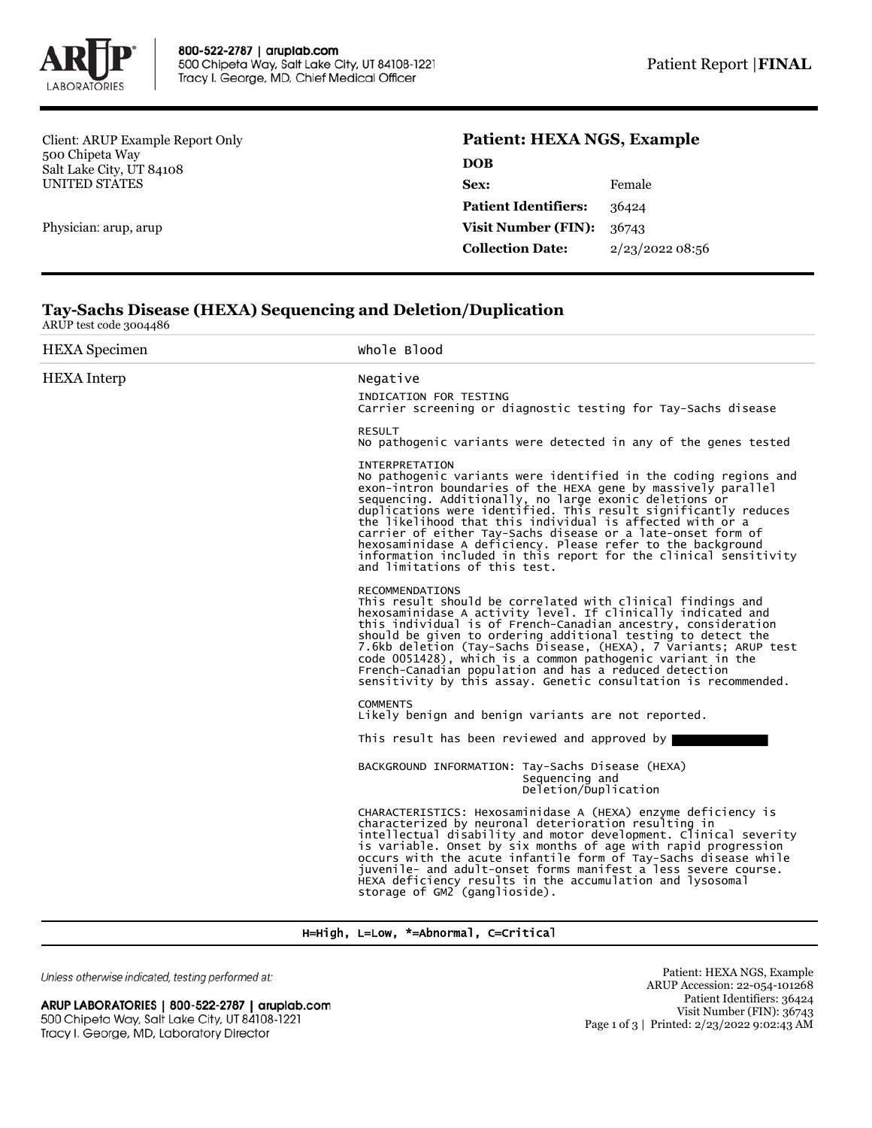

Client: ARUP Example Report Only 500 Chipeta Way Salt Lake City, UT 84108 UNITED STATES

Physician: arup, arup

## **Patient: HEXA NGS, Example**

| DOB                         |                |
|-----------------------------|----------------|
| Sex:                        | Female         |
| <b>Patient Identifiers:</b> | 36424          |
| <b>Visit Number (FIN):</b>  | 36743          |
| <b>Collection Date:</b>     | 2/23/202208:56 |
|                             |                |

## **Tay-Sachs Disease (HEXA) Sequencing and Deletion/Duplication** ARUP test code 3004486

| <b>HEXA</b> Specimen | Whole Blood                                                                                                                                                                                                                                                                                                                                                                                                                                                                                                                                                                             |
|----------------------|-----------------------------------------------------------------------------------------------------------------------------------------------------------------------------------------------------------------------------------------------------------------------------------------------------------------------------------------------------------------------------------------------------------------------------------------------------------------------------------------------------------------------------------------------------------------------------------------|
| <b>HEXA</b> Interp   | Negative                                                                                                                                                                                                                                                                                                                                                                                                                                                                                                                                                                                |
|                      | INDICATION FOR TESTING<br>Carrier screening or diagnostic testing for Tay-Sachs disease                                                                                                                                                                                                                                                                                                                                                                                                                                                                                                 |
|                      | <b>RESULT</b><br>No pathogenic variants were detected in any of the genes tested                                                                                                                                                                                                                                                                                                                                                                                                                                                                                                        |
|                      | <b>INTERPRETATION</b><br>No pathogenic variants were identified in the coding regions and<br>exon-intron boundaries of the HEXA gene by massively parallel<br>sequencing. Additionally, no large exonic deletions or<br>duplications were identified. This result significantly reduces<br>the likelihood that this individual is affected with or a<br>carrier of either Tay-Sachs disease or a late-onset form of<br>hexosaminidase A deficiency. Please refer to the background<br>information included in this report for the clinical sensitivity<br>and limitations of this test. |
|                      | <b>RECOMMENDATIONS</b><br>This result should be correlated with clinical findings and<br>hexosaminidase A activity level. If clinically indicated and<br>this individual is of French-Canadian ancestry, consideration<br>should be given to ordering additional testing to detect the<br>7.6kb deletion (Tay-Sachs Disease, (HEXA), 7 Variants; ARUP test<br>code 0051428), which is a common pathogenic variant in the<br>French-Canadian population and has a reduced detection<br>sensitivity by this assay. Genetic consultation is recommended.                                   |
|                      | <b>COMMENTS</b><br>Likely benign and benign variants are not reported.                                                                                                                                                                                                                                                                                                                                                                                                                                                                                                                  |
|                      | This result has been reviewed and approved by                                                                                                                                                                                                                                                                                                                                                                                                                                                                                                                                           |
|                      | BACKGROUND INFORMATION: Tay-Sachs Disease (HEXA)<br>Sequencing and<br>Deletion/Duplication                                                                                                                                                                                                                                                                                                                                                                                                                                                                                              |
|                      | CHARACTERISTICS: Hexosaminidase A (HEXA) enzyme deficiency is<br>characterized by neuronal deterioration resulting in<br>intellectual disability and motor development. Clinical severity<br>is variable. Onset by six months of age with rapid progression<br>occurs with the acute infantile form of Tay-Sachs disease while<br>juvenile- and adult-onset forms manifest a less severe course.<br>HEXA deficiency results in the accumulation and lysosomal<br>storage of GM2 (ganglioside).                                                                                          |

## H=High, L=Low, \*=Abnormal, C=Critical

Unless otherwise indicated, testing performed at:

ARUP LABORATORIES | 800-522-2787 | aruplab.com 500 Chipeta Way, Salt Lake City, UT 84108-1221 Tracy I. George, MD, Laboratory Director

Patient: HEXA NGS, Example ARUP Accession: 22-054-101268 Patient Identifiers: 36424 Visit Number (FIN): 36743 Page 1 of 3 | Printed: 2/23/2022 9:02:43 AM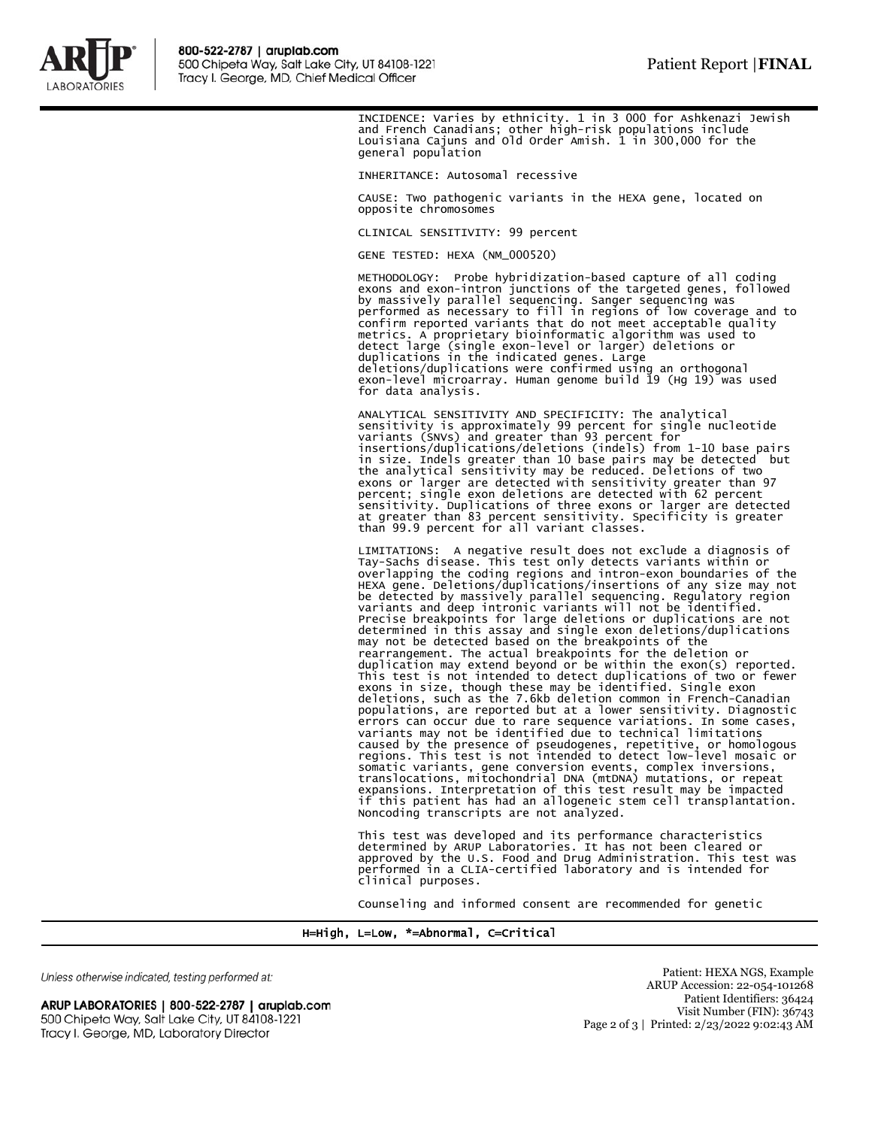

INCIDENCE: Varies by ethnicity. 1 in 3 000 for Ashkenazi Jewish and French Canadians; other high-risk populations include Louisiana Cajuns and Old Order Amish. 1 in 300,000 for the general population

INHERITANCE: Autosomal recessive

CAUSE: Two pathogenic variants in the HEXA gene, located on opposite chromosomes

CLINICAL SENSITIVITY: 99 percent

GENE TESTED: HEXA (NM\_000520)

METHODOLOGY: Probe hybridization-based capture of all coding exons and exon-intron junctions of the targeted genes, followed<br>by massively parallel sequencing. Sanger sequencing was<br>performed as necessary to fill in regions of low coverage and to<br>confirm reported variants that do not detect large (single exon-level or larger) deletions or duplications in the indicated genes. Large deletions/duplications were confirmed using an orthogonal exon-level microarray. Human genome build 19 (Hg 19) was used for data analysis.

ANALYTICAL SENSITIVITY AND SPECIFICITY: The analytical<br>sensitivity is approximately 99 percent for single nucleotide<br>variants (SNVs) and greater than 93 percent for<br>insertions/duplications/deletions (indels) from 1-10 base than 99.9 percent for all variant classes.

LIMITATIONS: A negative result does not exclude a diagnosis of Tay-Sachs disease. This test only detects variants within or overlapping the coding regions and intron-exon boundaries of the HEXA gene. Deletions/duplications/insertions of any size may not be detected by massively parallel sequencing. Regulatory region variants and deep intronic variants will not be identified. Precise breakpoints for large deletions or duplications are not determined in this assay and single exon deletions/duplications may not be detected based on the breakpoints of the rearrangement. The actual breakpoints for the deletion or duplication may extend beyond or be within the exon(s) reported. This test is not intended to detect duplications of two or fewer exons in size, though these may be identified. Single exon deletions, such as the 7.6kb deletion common in French-Canadian populations, are reported but at a lower sensitivity. Diagnostic errors can occur due to rare sequence variations. In some cases, variants may not be identified due to technical limitations caused by the presence of pseudogenes, repetitive, or homologous regions. This test is not intended to detect low-level mosaic or somatic variants, gene conversion events, complex inversions,<br>translocations, mitochondrial DNA (mtDNA) mutations, or repeat<br>expansions. Interpretation of this test result may be impacted<br>if this patient has had an allogen Noncoding transcripts are not analyzed.

This test was developed and its performance characteristics<br>determined by ARUP Laboratories. It has not been cleared or<br>approved by the U.S. Food and Drug Administration. This test was<br>performed in a CLIA-certified laborat clinical purposes.

Counseling and informed consent are recommended for genetic

H=High, L=Low, \*=Abnormal, C=Critical

Unless otherwise indicated, testing performed at:

ARUP LABORATORIES | 800-522-2787 | aruplab.com 500 Chipeta Way, Salt Lake City, UT 84108-1221 Tracy I. George, MD, Laboratory Director

Patient: HEXA NGS, Example ARUP Accession: 22-054-101268 Patient Identifiers: 36424 Visit Number (FIN): 36743 Page 2 of 3 | Printed: 2/23/2022 9:02:43 AM